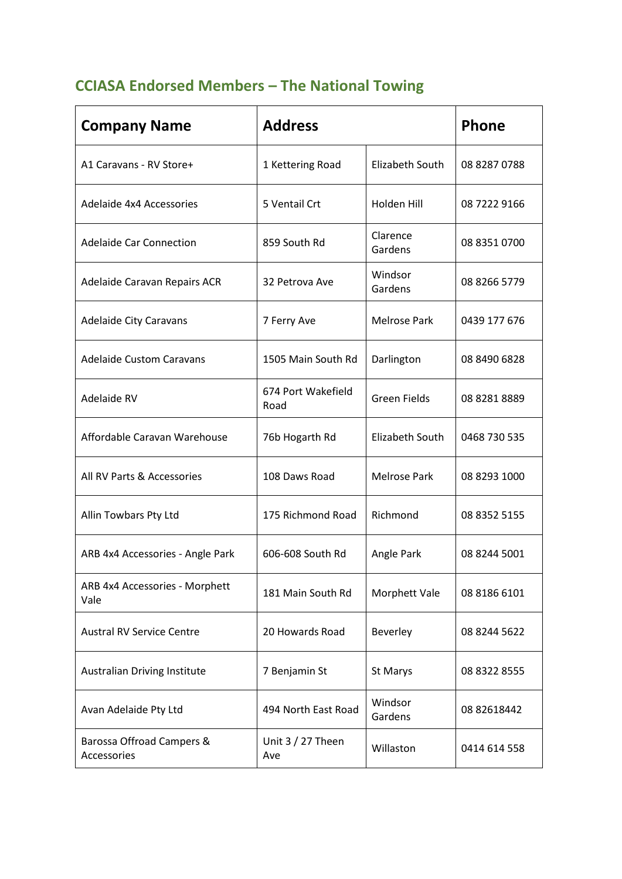## **CCIASA Endorsed Members – The National Towing**

| <b>Company Name</b>                      | <b>Address</b>             |                     | Phone        |
|------------------------------------------|----------------------------|---------------------|--------------|
| A1 Caravans - RV Store+                  | 1 Kettering Road           | Elizabeth South     | 08 8287 0788 |
| Adelaide 4x4 Accessories                 | 5 Ventail Crt              | Holden Hill         | 08 7222 9166 |
| <b>Adelaide Car Connection</b>           | 859 South Rd               | Clarence<br>Gardens | 08 8351 0700 |
| Adelaide Caravan Repairs ACR             | 32 Petrova Ave             | Windsor<br>Gardens  | 08 8266 5779 |
| <b>Adelaide City Caravans</b>            | 7 Ferry Ave                | <b>Melrose Park</b> | 0439 177 676 |
| <b>Adelaide Custom Caravans</b>          | 1505 Main South Rd         | Darlington          | 08 8490 6828 |
| Adelaide RV                              | 674 Port Wakefield<br>Road | <b>Green Fields</b> | 08 8281 8889 |
| Affordable Caravan Warehouse             | 76b Hogarth Rd             | Elizabeth South     | 0468 730 535 |
| All RV Parts & Accessories               | 108 Daws Road              | <b>Melrose Park</b> | 08 8293 1000 |
| Allin Towbars Pty Ltd                    | 175 Richmond Road          | Richmond            | 08 8352 5155 |
| ARB 4x4 Accessories - Angle Park         | 606-608 South Rd           | Angle Park          | 08 8244 5001 |
| ARB 4x4 Accessories - Morphett<br>Vale   | 181 Main South Rd          | Morphett Vale       | 08 8186 6101 |
| <b>Austral RV Service Centre</b>         | 20 Howards Road            | Beverley            | 08 8244 5622 |
| <b>Australian Driving Institute</b>      | 7 Benjamin St              | St Marys            | 08 8322 8555 |
| Avan Adelaide Pty Ltd                    | 494 North East Road        | Windsor<br>Gardens  | 08 82618442  |
| Barossa Offroad Campers &<br>Accessories | Unit $3/27$ Theen<br>Ave   | Willaston           | 0414 614 558 |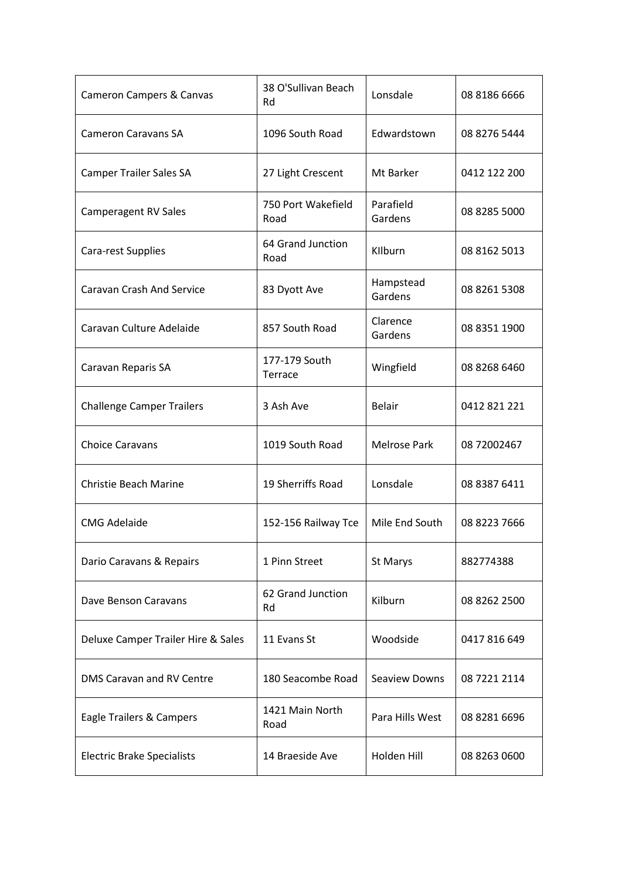| Cameron Campers & Canvas           | 38 O'Sullivan Beach<br>Rd  | Lonsdale             | 08 8186 6666 |
|------------------------------------|----------------------------|----------------------|--------------|
| <b>Cameron Caravans SA</b>         | 1096 South Road            | Edwardstown          | 08 8276 5444 |
| <b>Camper Trailer Sales SA</b>     | 27 Light Crescent          | Mt Barker            | 0412 122 200 |
| Camperagent RV Sales               | 750 Port Wakefield<br>Road | Parafield<br>Gardens | 08 8285 5000 |
| Cara-rest Supplies                 | 64 Grand Junction<br>Road  | KIlburn              | 08 8162 5013 |
| <b>Caravan Crash And Service</b>   | 83 Dyott Ave               | Hampstead<br>Gardens | 08 8261 5308 |
| Caravan Culture Adelaide           | 857 South Road             | Clarence<br>Gardens  | 08 8351 1900 |
| Caravan Reparis SA                 | 177-179 South<br>Terrace   | Wingfield            | 08 8268 6460 |
| <b>Challenge Camper Trailers</b>   | 3 Ash Ave                  | <b>Belair</b>        | 0412 821 221 |
| <b>Choice Caravans</b>             | 1019 South Road            | <b>Melrose Park</b>  | 08 72002467  |
| <b>Christie Beach Marine</b>       | 19 Sherriffs Road          | Lonsdale             | 08 8387 6411 |
| <b>CMG Adelaide</b>                | 152-156 Railway Tce        | Mile End South       | 08 8223 7666 |
| Dario Caravans & Repairs           | 1 Pinn Street              | St Marys             | 882774388    |
| Dave Benson Caravans               | 62 Grand Junction<br>Rd    | Kilburn              | 08 8262 2500 |
| Deluxe Camper Trailer Hire & Sales | 11 Evans St                | Woodside             | 0417 816 649 |
| DMS Caravan and RV Centre          | 180 Seacombe Road          | Seaview Downs        | 08 7221 2114 |
| Eagle Trailers & Campers           | 1421 Main North<br>Road    | Para Hills West      | 08 8281 6696 |
| <b>Electric Brake Specialists</b>  | 14 Braeside Ave            | Holden Hill          | 08 8263 0600 |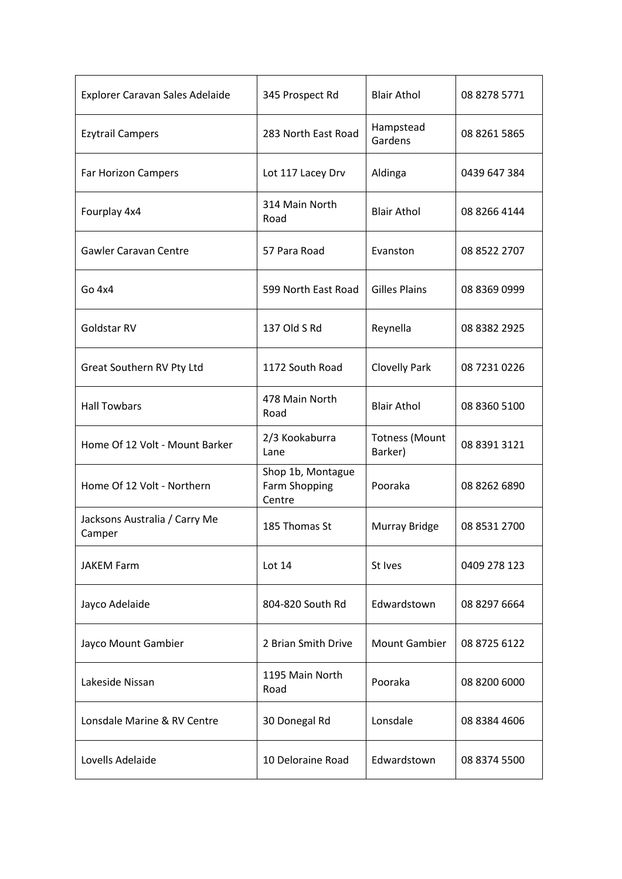| Explorer Caravan Sales Adelaide         | 345 Prospect Rd                              | <b>Blair Athol</b>               | 08 8278 5771 |
|-----------------------------------------|----------------------------------------------|----------------------------------|--------------|
| <b>Ezytrail Campers</b>                 | 283 North East Road                          | Hampstead<br>Gardens             | 08 8261 5865 |
| Far Horizon Campers                     | Lot 117 Lacey Drv                            | Aldinga                          | 0439 647 384 |
| Fourplay 4x4                            | 314 Main North<br>Road                       | <b>Blair Athol</b>               | 08 8266 4144 |
| <b>Gawler Caravan Centre</b>            | 57 Para Road                                 | Evanston                         | 08 8522 2707 |
| Go 4x4                                  | 599 North East Road                          | <b>Gilles Plains</b>             | 08 8369 0999 |
| Goldstar RV                             | 137 Old S Rd                                 | Reynella                         | 08 8382 2925 |
| Great Southern RV Pty Ltd               | 1172 South Road                              | <b>Clovelly Park</b>             | 08 7231 0226 |
| <b>Hall Towbars</b>                     | 478 Main North<br>Road                       | <b>Blair Athol</b>               | 08 8360 5100 |
| Home Of 12 Volt - Mount Barker          | 2/3 Kookaburra<br>Lane                       | <b>Totness (Mount</b><br>Barker) | 08 8391 3121 |
| Home Of 12 Volt - Northern              | Shop 1b, Montague<br>Farm Shopping<br>Centre | Pooraka                          | 08 8262 6890 |
| Jacksons Australia / Carry Me<br>Camper | 185 Thomas St                                | Murray Bridge                    | 08 8531 2700 |
| <b>JAKEM Farm</b>                       | Lot $14$                                     | St Ives                          | 0409 278 123 |
| Jayco Adelaide                          | 804-820 South Rd                             | Edwardstown                      | 08 8297 6664 |
| Jayco Mount Gambier                     | 2 Brian Smith Drive                          | <b>Mount Gambier</b>             | 08 8725 6122 |
| Lakeside Nissan                         | 1195 Main North<br>Road                      | Pooraka                          | 08 8200 6000 |
| Lonsdale Marine & RV Centre             | 30 Donegal Rd                                | Lonsdale                         | 08 8384 4606 |
| Lovells Adelaide                        | 10 Deloraine Road                            | Edwardstown                      | 08 8374 5500 |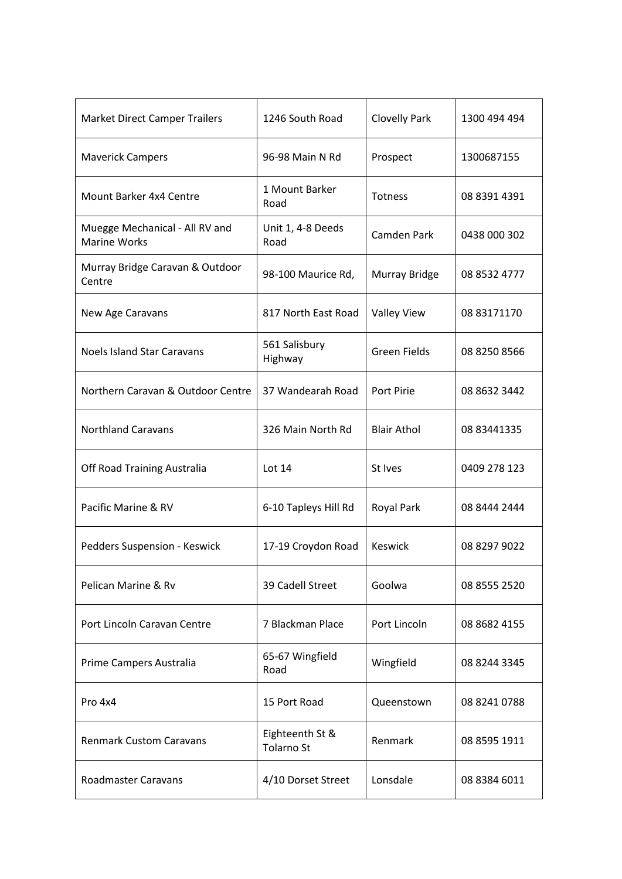| <b>Market Direct Camper Trailers</b>                  | 1246 South Road               | <b>Clovelly Park</b> | 1300 494 494 |
|-------------------------------------------------------|-------------------------------|----------------------|--------------|
| <b>Maverick Campers</b>                               | 96-98 Main N Rd               | Prospect             | 1300687155   |
| Mount Barker 4x4 Centre                               | 1 Mount Barker<br>Road        | <b>Totness</b>       | 08 8391 4391 |
| Muegge Mechanical - All RV and<br><b>Marine Works</b> | Unit 1, 4-8 Deeds<br>Road     | Camden Park          | 0438 000 302 |
| Murray Bridge Caravan & Outdoor<br>Centre             | 98-100 Maurice Rd,            | Murray Bridge        | 08 8532 4777 |
| New Age Caravans                                      | 817 North East Road           | <b>Valley View</b>   | 08 83171170  |
| <b>Noels Island Star Caravans</b>                     | 561 Salisbury<br>Highway      | <b>Green Fields</b>  | 08 8250 8566 |
| Northern Caravan & Outdoor Centre                     | 37 Wandearah Road             | Port Pirie           | 08 8632 3442 |
| <b>Northland Caravans</b>                             | 326 Main North Rd             | <b>Blair Athol</b>   | 08 83441335  |
| Off Road Training Australia                           | Lot $14$                      | St Ives              | 0409 278 123 |
| Pacific Marine & RV                                   | 6-10 Tapleys Hill Rd          | Royal Park           | 08 8444 2444 |
| Pedders Suspension - Keswick                          | 17-19 Croydon Road            | <b>Keswick</b>       | 08 8297 9022 |
| Pelican Marine & Rv                                   | 39 Cadell Street              | Goolwa               | 08 8555 2520 |
| Port Lincoln Caravan Centre                           | 7 Blackman Place              | Port Lincoln         | 08 8682 4155 |
| Prime Campers Australia                               | 65-67 Wingfield<br>Road       | Wingfield            | 08 8244 3345 |
| Pro 4x4                                               | 15 Port Road                  | Queenstown           | 08 8241 0788 |
| <b>Renmark Custom Caravans</b>                        | Eighteenth St &<br>Tolarno St | Renmark              | 08 8595 1911 |
| <b>Roadmaster Caravans</b>                            | 4/10 Dorset Street            | Lonsdale             | 08 8384 6011 |